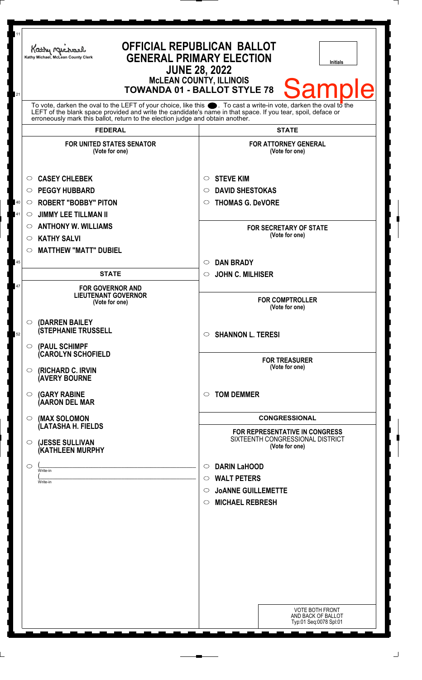| 11           | Kathy Michael<br>Kathy Michael, McLean County Clerk                                                                                                                                                                                                                                                                          | <b>OFFICIAL REPUBLICAN BALLOT</b><br><b>GENERAL PRIMARY ELECTION</b><br><b>Initials</b><br><b>JUNE 28, 2022</b><br><b>MCLEAN COUNTY, ILLINOIS</b><br><b>Sample</b><br><b>TOWANDA 01 - BALLOT STYLE 78</b> |
|--------------|------------------------------------------------------------------------------------------------------------------------------------------------------------------------------------------------------------------------------------------------------------------------------------------------------------------------------|-----------------------------------------------------------------------------------------------------------------------------------------------------------------------------------------------------------|
| 21           | To vote, darken the oval to the LEFT of your choice, like this $\bullet$ . To cast a write-in vote, darken the oval to the<br>LEFT of the blank space provided and write the candidate's name in that space. If you tear, spoil, deface or<br>erroneously mark this ballot, return to the election judge and obtain another. |                                                                                                                                                                                                           |
|              | <b>FEDERAL</b>                                                                                                                                                                                                                                                                                                               | <b>STATE</b>                                                                                                                                                                                              |
|              | <b>FOR UNITED STATES SENATOR</b><br>(Vote for one)                                                                                                                                                                                                                                                                           | <b>FOR ATTORNEY GENERAL</b><br>(Vote for one)                                                                                                                                                             |
| $40\,$<br>41 | <b>CASEY CHLEBEK</b><br>O<br><b>PEGGY HUBBARD</b><br>$\circ$<br><b>ROBERT "BOBBY" PITON</b><br>$\circ$<br><b>JIMMY LEE TILLMAN II</b><br>O<br><b>ANTHONY W. WILLIAMS</b><br>$\circ$                                                                                                                                          | <b>STEVE KIM</b><br>O<br><b>DAVID SHESTOKAS</b><br>◯<br><b>THOMAS G. DeVORE</b><br>◯<br><b>FOR SECRETARY OF STATE</b>                                                                                     |
|              | <b>KATHY SALVI</b><br>$\circ$<br><b>MATTHEW "MATT" DUBIEL</b><br>$\circ$                                                                                                                                                                                                                                                     | (Vote for one)                                                                                                                                                                                            |
| 45           | <b>STATE</b>                                                                                                                                                                                                                                                                                                                 | <b>DAN BRADY</b><br>$\circ$<br><b>JOHN C. MILHISER</b><br>$\circ$                                                                                                                                         |
| 47           | <b>FOR GOVERNOR AND</b><br><b>LIEUTENANT GOVERNOR</b><br>(Vote for one)                                                                                                                                                                                                                                                      | <b>FOR COMPTROLLER</b><br>(Vote for one)                                                                                                                                                                  |
| 52           | (DARREN BAILEY<br>$\circ$<br><b>(STEPHANIE TRUSSELL</b><br>$\circ$ (PAUL SCHIMPF                                                                                                                                                                                                                                             | <b>SHANNON L. TERESI</b><br>$\circ$                                                                                                                                                                       |
|              | <b>CAROLYN SCHOFIELD</b><br><b>(RICHARD C. IRVIN</b><br>$\circ$<br><b>(AVERY BOURNE</b>                                                                                                                                                                                                                                      | <b>FOR TREASURER</b><br>(Vote for one)                                                                                                                                                                    |
|              | <b>(GARY RABINE</b><br>O<br>(AARON DEL MAR                                                                                                                                                                                                                                                                                   | <b>TOM DEMMER</b><br>◯                                                                                                                                                                                    |
|              | (MAX SOLOMON<br>$\circ$<br>(LATASHA H. FIELDS                                                                                                                                                                                                                                                                                | <b>CONGRESSIONAL</b>                                                                                                                                                                                      |
|              | (JESSE SULLIVAN<br>$\circ$<br>(KATHLEEN MURPHY                                                                                                                                                                                                                                                                               | FOR REPRESENTATIVE IN CONGRESS<br>SIXTEENTH CONGRESSIONAL DISTRICT<br>(Vote for one)                                                                                                                      |
|              | O<br>Write-in<br>Write-in                                                                                                                                                                                                                                                                                                    | <b>DARIN LaHOOD</b><br>$\circ$<br><b>WALT PETERS</b><br>$\circ$<br><b>JOANNE GUILLEMETTE</b><br>$\circ$<br><b>MICHAEL REBRESH</b><br>$\circ$                                                              |
|              |                                                                                                                                                                                                                                                                                                                              |                                                                                                                                                                                                           |
|              |                                                                                                                                                                                                                                                                                                                              | <b>VOTE BOTH FRONT</b><br>AND BACK OF BALLOT<br>Typ:01 Seq:0078 Spl:01                                                                                                                                    |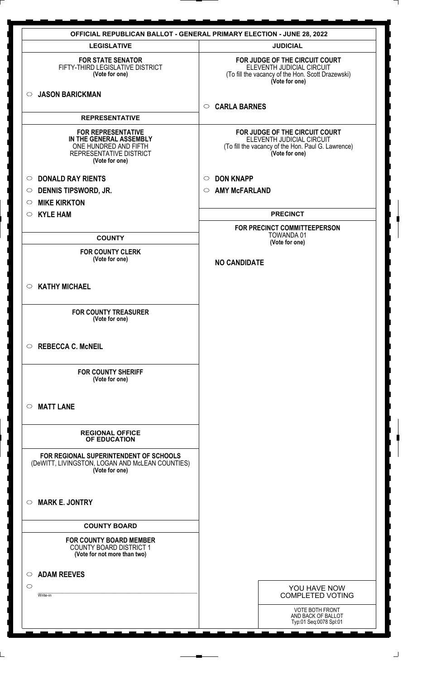| <b>OFFICIAL REPUBLICAN BALLOT - GENERAL PRIMARY ELECTION - JUNE 28, 2022</b>                                               |                                                                                                                                     |  |
|----------------------------------------------------------------------------------------------------------------------------|-------------------------------------------------------------------------------------------------------------------------------------|--|
| <b>LEGISLATIVE</b>                                                                                                         | <b>JUDICIAL</b>                                                                                                                     |  |
| <b>FOR STATE SENATOR</b><br>FIFTY-THIRD LEGISLATIVE DISTRICT<br>(Vote for one)                                             | FOR JUDGE OF THE CIRCUIT COURT<br>ELEVENTH JUDICIAL CIRCUIT<br>(To fill the vacancy of the Hon. Scott Drazewski)<br>(Vote for one)  |  |
| <b>JASON BARICKMAN</b><br>$\circ$                                                                                          | <b>CARLA BARNES</b><br>$\circ$                                                                                                      |  |
| <b>REPRESENTATIVE</b>                                                                                                      |                                                                                                                                     |  |
| <b>FOR REPRESENTATIVE</b><br>IN THE GENERAL ASSEMBLY<br>ONE HUNDRED AND FIFTH<br>REPRESENTATIVE DISTRICT<br>(Vote for one) | FOR JUDGE OF THE CIRCUIT COURT<br>ELEVENTH JUDICIAL CIRCUIT<br>(To fill the vacancy of the Hon. Paul G. Lawrence)<br>(Vote for one) |  |
| <b>DONALD RAY RIENTS</b><br>$\circ$                                                                                        | <b>DON KNAPP</b><br>$\circ$                                                                                                         |  |
| <b>DENNIS TIPSWORD, JR.</b><br>$\circ$                                                                                     | <b>AMY McFARLAND</b><br>$\circ$                                                                                                     |  |
| <b>MIKE KIRKTON</b><br>$\circ$                                                                                             |                                                                                                                                     |  |
| <b>KYLE HAM</b><br>$\circ$                                                                                                 | <b>PRECINCT</b>                                                                                                                     |  |
|                                                                                                                            | FOR PRECINCT COMMITTEEPERSON                                                                                                        |  |
| <b>COUNTY</b>                                                                                                              | TOWANDA 01<br>(Vote for one)                                                                                                        |  |
| <b>FOR COUNTY CLERK</b>                                                                                                    |                                                                                                                                     |  |
| (Vote for one)                                                                                                             | <b>NO CANDIDATE</b>                                                                                                                 |  |
| <b>KATHY MICHAEL</b><br>$\circ$                                                                                            |                                                                                                                                     |  |
| <b>FOR COUNTY TREASURER</b><br>(Vote for one)                                                                              |                                                                                                                                     |  |
| <b>REBECCA C. McNEIL</b><br>$\circ$                                                                                        |                                                                                                                                     |  |
| <b>FOR COUNTY SHERIFF</b><br>(Vote for one)                                                                                |                                                                                                                                     |  |
| <b>MATT LANE</b><br>$\circ$                                                                                                |                                                                                                                                     |  |
| <b>REGIONAL OFFICE</b><br>OF EDUCATION                                                                                     |                                                                                                                                     |  |
| FOR REGIONAL SUPERINTENDENT OF SCHOOLS<br>(DeWITT, LIVINGSTON, LOGAN AND McLEAN COUNTIES)<br>(Vote for one)                |                                                                                                                                     |  |
| <b>MARK E. JONTRY</b><br>$\circ$                                                                                           |                                                                                                                                     |  |
| <b>COUNTY BOARD</b>                                                                                                        |                                                                                                                                     |  |
| <b>FOR COUNTY BOARD MEMBER</b><br><b>COUNTY BOARD DISTRICT 1</b><br>(Vote for not more than two)                           |                                                                                                                                     |  |
| <b>ADAM REEVES</b><br>$\circ$                                                                                              |                                                                                                                                     |  |
| $\circ$                                                                                                                    | YOU HAVE NOW                                                                                                                        |  |
| Write-in                                                                                                                   | <b>COMPLETED VOTING</b>                                                                                                             |  |
|                                                                                                                            | <b>VOTE BOTH FRONT</b><br>AND BACK OF BALLOT<br>Typ:01 Seq:0078 Spl:01                                                              |  |
|                                                                                                                            |                                                                                                                                     |  |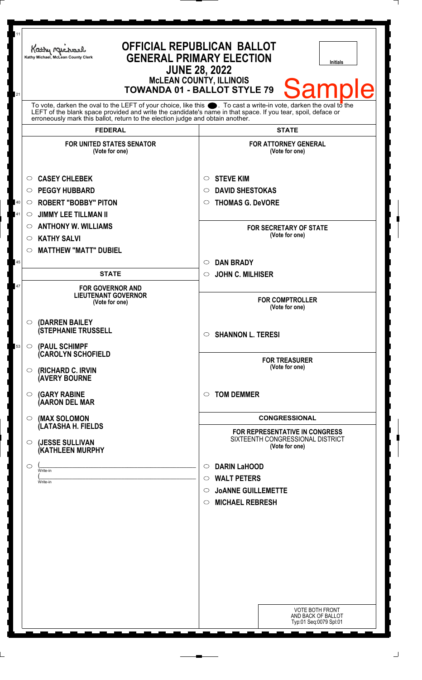| 11       | Kathy Michael<br>Kathy Michael, McLean County Clerk                                                                                                                                                                                                                                                                          | <b>OFFICIAL REPUBLICAN BALLOT</b><br><b>GENERAL PRIMARY ELECTION</b><br><b>Initials</b><br><b>JUNE 28, 2022</b><br><b>McLEAN COUNTY, ILLINOIS</b>         |
|----------|------------------------------------------------------------------------------------------------------------------------------------------------------------------------------------------------------------------------------------------------------------------------------------------------------------------------------|-----------------------------------------------------------------------------------------------------------------------------------------------------------|
| 21       | To vote, darken the oval to the LEFT of your choice, like this $\bullet$ . To cast a write-in vote, darken the oval to the<br>LEFT of the blank space provided and write the candidate's name in that space. If you tear, spoil, deface or<br>erroneously mark this ballot, return to the election judge and obtain another. | <b>Sample</b><br><b>TOWANDA 01 - BALLOT STYLE 79</b>                                                                                                      |
|          | <b>FEDERAL</b>                                                                                                                                                                                                                                                                                                               | <b>STATE</b>                                                                                                                                              |
|          | <b>FOR UNITED STATES SENATOR</b><br>(Vote for one)                                                                                                                                                                                                                                                                           | <b>FOR ATTORNEY GENERAL</b><br>(Vote for one)                                                                                                             |
| 40<br>41 | <b>CASEY CHLEBEK</b><br>$\circ$<br><b>PEGGY HUBBARD</b><br>$\circ$<br><b>ROBERT "BOBBY" PITON</b><br>$\circ$<br><b>JIMMY LEE TILLMAN II</b><br>$\circ$<br><b>ANTHONY W. WILLIAMS</b><br>O<br><b>KATHY SALVI</b><br>O                                                                                                         | <b>STEVE KIM</b><br>O<br><b>DAVID SHESTOKAS</b><br>$\circlearrowright$<br><b>THOMAS G. DeVORE</b><br>O<br><b>FOR SECRETARY OF STATE</b><br>(Vote for one) |
| 45       | <b>MATTHEW "MATT" DUBIEL</b><br>$\circ$                                                                                                                                                                                                                                                                                      | <b>DAN BRADY</b><br>$\circlearrowright$                                                                                                                   |
| 47       | <b>STATE</b><br><b>FOR GOVERNOR AND</b><br><b>LIEUTENANT GOVERNOR</b><br>(Vote for one)                                                                                                                                                                                                                                      | <b>JOHN C. MILHISER</b><br>$\circ$<br><b>FOR COMPTROLLER</b><br>(Vote for one)                                                                            |
| 53       | (DARREN BAILEY<br>$\bigcirc$<br><b>(STEPHANIE TRUSSELL</b><br>$\circ$ (PAUL SCHIMPF                                                                                                                                                                                                                                          | <b>SHANNON L. TERESI</b><br>$\circ$                                                                                                                       |
|          | <b>CAROLYN SCHOFIELD</b><br><b>(RICHARD C. IRVIN</b><br>$\circ$<br><b>(AVERY BOURNE</b>                                                                                                                                                                                                                                      | <b>FOR TREASURER</b><br>(Vote for one)                                                                                                                    |
|          | <b>(GARY RABINE</b><br>$\circ$<br>(AARON DEL MAR                                                                                                                                                                                                                                                                             | <b>TOM DEMMER</b><br>◯                                                                                                                                    |
|          | (MAX SOLOMON<br>$\bigcirc$<br>(LATASHA H. FIELDS                                                                                                                                                                                                                                                                             | <b>CONGRESSIONAL</b>                                                                                                                                      |
|          | (JESSE SULLIVAN<br>$\circ$<br>(KATHLEEN MURPHY                                                                                                                                                                                                                                                                               | <b>FOR REPRESENTATIVE IN CONGRESS</b><br>SIXTEENTH CONGRESSIONAL DISTRICT<br>(Vote for one)                                                               |
|          | $\circ$<br>Write-in<br>Write-in                                                                                                                                                                                                                                                                                              | <b>DARIN LaHOOD</b><br>$\circ$<br>$\circ$ WALT PETERS<br><b>JOANNE GUILLEMETTE</b><br>$\circ$<br><b>MICHAEL REBRESH</b><br>$\circ$                        |
|          |                                                                                                                                                                                                                                                                                                                              | <b>VOTE BOTH FRONT</b><br>AND BACK OF BALLOT<br>Typ:01 Seq:0079 Spl:01                                                                                    |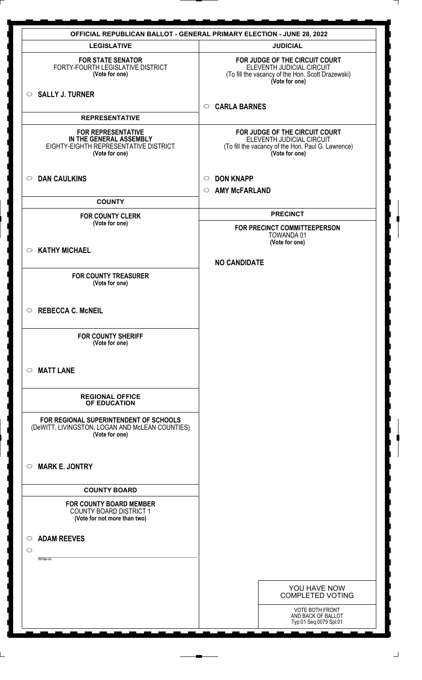|                                                                                                                 | <b>OFFICIAL REPUBLICAN BALLOT - GENERAL PRIMARY ELECTION - JUNE 28, 2022</b>                                                        |
|-----------------------------------------------------------------------------------------------------------------|-------------------------------------------------------------------------------------------------------------------------------------|
| <b>LEGISLATIVE</b>                                                                                              | <b>JUDICIAL</b>                                                                                                                     |
| <b>FOR STATE SENATOR</b><br>FORTY-FOURTH LEGISLATIVE DISTRICT<br>(Vote for one)                                 | FOR JUDGE OF THE CIRCUIT COURT<br>ELEVENTH JUDICIAL CIRCUIT<br>(To fill the vacancy of the Hon. Scott Drazewski)<br>(Vote for one)  |
| $\circ$ SALLY J. TURNER                                                                                         | <b>CARLA BARNES</b><br>$\circ$                                                                                                      |
| <b>REPRESENTATIVE</b>                                                                                           |                                                                                                                                     |
| <b>FOR REPRESENTATIVE</b><br>IN THE GENERAL ASSEMBLY<br>EIGHTY-EIGHTH REPRESENTATIVE DISTRICT<br>(Vote for one) | FOR JUDGE OF THE CIRCUIT COURT<br>ELEVENTH JUDICIAL CIRCUIT<br>(To fill the vacancy of the Hon. Paul G. Lawrence)<br>(Vote for one) |
| <b>DAN CAULKINS</b><br>$\circ$                                                                                  | <b>DON KNAPP</b><br>$\circ$                                                                                                         |
|                                                                                                                 | <b>AMY McFARLAND</b><br>$\circ$                                                                                                     |
| <b>COUNTY</b>                                                                                                   |                                                                                                                                     |
| <b>FOR COUNTY CLERK</b>                                                                                         | <b>PRECINCT</b>                                                                                                                     |
| (Vote for one)                                                                                                  | FOR PRECINCT COMMITTEEPERSON                                                                                                        |
|                                                                                                                 | <b>TOWANDA01</b><br>(Vote for one)                                                                                                  |
| <b>KATHY MICHAEL</b><br>$\circ$                                                                                 |                                                                                                                                     |
|                                                                                                                 | <b>NO CANDIDATE</b>                                                                                                                 |
| <b>FOR COUNTY TREASURER</b><br>(Vote for one)                                                                   |                                                                                                                                     |
|                                                                                                                 |                                                                                                                                     |
| <b>REBECCA C. McNEIL</b><br>$\circ$                                                                             |                                                                                                                                     |
| <b>FOR COUNTY SHERIFF</b><br>(Vote for one)                                                                     |                                                                                                                                     |
| <b>MATT LANE</b><br>$\circ$                                                                                     |                                                                                                                                     |
| <b>REGIONAL OFFICE</b><br>OF EDUCATION                                                                          |                                                                                                                                     |
| FOR REGIONAL SUPERINTENDENT OF SCHOOLS<br>(DeWITT, LIVINGSTON, LOGAN AND McLEAN COUNTIES)<br>(Vote for one)     |                                                                                                                                     |
| <b>MARK E. JONTRY</b><br>$\circ$                                                                                |                                                                                                                                     |
| <b>COUNTY BOARD</b>                                                                                             |                                                                                                                                     |
| <b>FOR COUNTY BOARD MEMBER</b><br><b>COUNTY BOARD DISTRICT 1</b><br>(Vote for not more than two)                |                                                                                                                                     |
|                                                                                                                 |                                                                                                                                     |
| <b>ADAM REEVES</b><br>$\circ$<br>$\circ$                                                                        |                                                                                                                                     |
| Write-in                                                                                                        |                                                                                                                                     |
|                                                                                                                 |                                                                                                                                     |
|                                                                                                                 | YOU HAVE NOW<br><b>COMPLETED VOTING</b>                                                                                             |
|                                                                                                                 | <b>VOTE BOTH FRONT</b><br>AND BACK OF BALLOT<br>Typ:01 Seq:0079 Spl:01                                                              |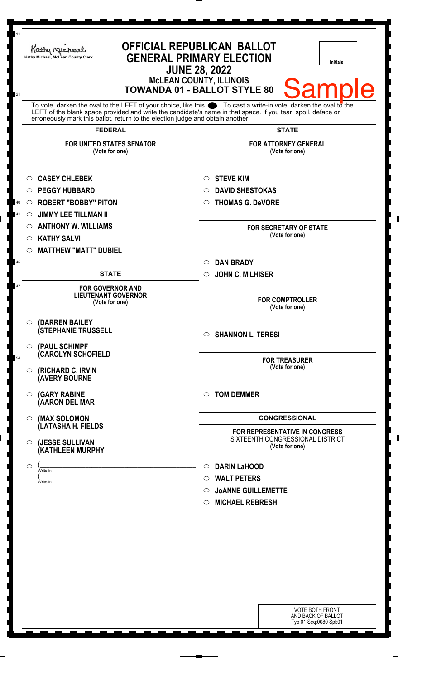| 11<br>21 | Kathy Michael<br>Kathy Michael, McLean County Clerk                                                                                                                                                                           | <b>OFFICIAL REPUBLICAN BALLOT</b><br><b>GENERAL PRIMARY ELECTION</b><br><b>Initials</b><br><b>JUNE 28, 2022</b><br><b>McLEAN COUNTY, ILLINOIS</b><br><b>Sample</b><br><b>TOWANDA 01 - BALLOT STYLE 80</b> |
|----------|-------------------------------------------------------------------------------------------------------------------------------------------------------------------------------------------------------------------------------|-----------------------------------------------------------------------------------------------------------------------------------------------------------------------------------------------------------|
|          | To vote, darken the oval to the LEFT of your choice, like this . To cast a write-in vote, darken the oval to the LEFT of the blank space provided and write the candidate's name in that space. If you tear, spoil, deface or |                                                                                                                                                                                                           |
|          | <b>FEDERAL</b>                                                                                                                                                                                                                | <b>STATE</b>                                                                                                                                                                                              |
|          | <b>FOR UNITED STATES SENATOR</b><br>(Vote for one)                                                                                                                                                                            | <b>FOR ATTORNEY GENERAL</b><br>(Vote for one)                                                                                                                                                             |
| 40<br>41 | <b>CASEY CHLEBEK</b><br>O<br><b>PEGGY HUBBARD</b><br>◯<br><b>ROBERT "BOBBY" PITON</b><br>$\circ$<br><b>JIMMY LEE TILLMAN II</b><br>$\circ$                                                                                    | <b>STEVE KIM</b><br>O<br><b>DAVID SHESTOKAS</b><br>◯<br><b>THOMAS G. DeVORE</b><br>O                                                                                                                      |
|          | <b>ANTHONY W. WILLIAMS</b><br>O<br><b>KATHY SALVI</b><br>O<br><b>MATTHEW "MATT" DUBIEL</b><br>$\circ$                                                                                                                         | <b>FOR SECRETARY OF STATE</b><br>(Vote for one)                                                                                                                                                           |
| 45       |                                                                                                                                                                                                                               | <b>DAN BRADY</b><br>$\circ$                                                                                                                                                                               |
|          | <b>STATE</b>                                                                                                                                                                                                                  | <b>JOHN C. MILHISER</b><br>$\circ$                                                                                                                                                                        |
| 47       | <b>FOR GOVERNOR AND</b><br><b>LIEUTENANT GOVERNOR</b><br>(Vote for one)                                                                                                                                                       | <b>FOR COMPTROLLER</b><br>(Vote for one)                                                                                                                                                                  |
|          | (DARREN BAILEY<br>$\circ$<br><b>(STEPHANIE TRUSSELL</b><br>(PAUL SCHIMPF<br>$\circ$                                                                                                                                           | <b>SHANNON L. TERESI</b><br>$\circ$                                                                                                                                                                       |
| 54       | <b>CAROLYN SCHOFIELD</b><br><b>(RICHARD C. IRVIN</b><br>$\circ$<br><b>(AVERY BOURNE</b>                                                                                                                                       | <b>FOR TREASURER</b><br>(Vote for one)                                                                                                                                                                    |
|          | <b>(GARY RABINE</b><br>$\circ$<br>(AARON DEL MAR                                                                                                                                                                              | <b>TOM DEMMER</b><br>$\bigcirc$                                                                                                                                                                           |
|          | (MAX SOLOMON<br>$\circ$                                                                                                                                                                                                       | <b>CONGRESSIONAL</b>                                                                                                                                                                                      |
|          | (LATASHA H. FIELDS<br>(JESSE SULLIVAN<br>$\circ$<br>(KATHLEEN MURPHY                                                                                                                                                          | FOR REPRESENTATIVE IN CONGRESS<br>SIXTEENTH CONGRESSIONAL DISTRICT<br>(Vote for one)                                                                                                                      |
|          | $\circ$<br>Write-in<br>Write-in                                                                                                                                                                                               | <b>DARIN LaHOOD</b><br>$\circ$<br><b>WALT PETERS</b><br>$\circ$<br><b>JOANNE GUILLEMETTE</b><br>$\circ$<br><b>MICHAEL REBRESH</b><br>$\circ$                                                              |
|          |                                                                                                                                                                                                                               |                                                                                                                                                                                                           |
|          |                                                                                                                                                                                                                               | <b>VOTE BOTH FRONT</b><br>AND BACK OF BALLOT<br>Typ:01 Seq:0080 Spl:01                                                                                                                                    |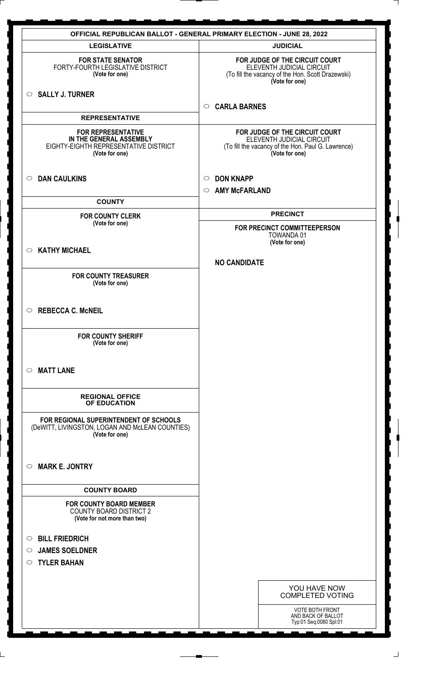|                                                                                                                 | <b>OFFICIAL REPUBLICAN BALLOT - GENERAL PRIMARY ELECTION - JUNE 28, 2022</b>                                                        |
|-----------------------------------------------------------------------------------------------------------------|-------------------------------------------------------------------------------------------------------------------------------------|
| <b>LEGISLATIVE</b>                                                                                              | <b>JUDICIAL</b>                                                                                                                     |
| <b>FOR STATE SENATOR</b><br>FORTY-FOURTH LEGISLATIVE DISTRICT<br>(Vote for one)                                 | FOR JUDGE OF THE CIRCUIT COURT<br>ELEVENTH JUDICIAL CIRCUIT<br>(To fill the vacancy of the Hon. Scott Drazewski)<br>(Vote for one)  |
| SALLY J. TURNER                                                                                                 | <b>CARLA BARNES</b><br>$\circ$                                                                                                      |
| <b>REPRESENTATIVE</b>                                                                                           |                                                                                                                                     |
| <b>FOR REPRESENTATIVE</b><br>IN THE GENERAL ASSEMBLY<br>EIGHTY-EIGHTH REPRESENTATIVE DISTRICT<br>(Vote for one) | FOR JUDGE OF THE CIRCUIT COURT<br>ELEVENTH JUDICIAL CIRCUIT<br>(To fill the vacancy of the Hon. Paul G. Lawrence)<br>(Vote for one) |
| <b>DAN CAULKINS</b><br>$\circ$                                                                                  | <b>DON KNAPP</b><br>$\circ$                                                                                                         |
|                                                                                                                 | <b>AMY McFARLAND</b><br>$\circ$                                                                                                     |
| <b>COUNTY</b>                                                                                                   |                                                                                                                                     |
| <b>FOR COUNTY CLERK</b><br>(Vote for one)                                                                       | <b>PRECINCT</b>                                                                                                                     |
|                                                                                                                 | FOR PRECINCT COMMITTEEPERSON<br><b>TOWANDA01</b>                                                                                    |
|                                                                                                                 | (Vote for one)                                                                                                                      |
| <b>KATHY MICHAEL</b><br>$\circ$                                                                                 | <b>NO CANDIDATE</b>                                                                                                                 |
|                                                                                                                 |                                                                                                                                     |
| <b>FOR COUNTY TREASURER</b><br>(Vote for one)                                                                   |                                                                                                                                     |
|                                                                                                                 |                                                                                                                                     |
| <b>REBECCA C. McNEIL</b><br>$\circ$                                                                             |                                                                                                                                     |
|                                                                                                                 |                                                                                                                                     |
| <b>FOR COUNTY SHERIFF</b><br>(Vote for one)                                                                     |                                                                                                                                     |
|                                                                                                                 |                                                                                                                                     |
| <b>MATT LANE</b><br>$\circ$                                                                                     |                                                                                                                                     |
| <b>REGIONAL OFFICE</b><br>OF EDUCATION                                                                          |                                                                                                                                     |
| FOR REGIONAL SUPERINTENDENT OF SCHOOLS<br>(DeWITT, LIVINGSTON, LOGAN AND McLEAN COUNTIES)<br>(Vote for one)     |                                                                                                                                     |
| <b>MARK E. JONTRY</b><br>$\circ$                                                                                |                                                                                                                                     |
| <b>COUNTY BOARD</b>                                                                                             |                                                                                                                                     |
| <b>FOR COUNTY BOARD MEMBER</b>                                                                                  |                                                                                                                                     |
| <b>COUNTY BOARD DISTRICT 2</b><br>(Vote for not more than two)                                                  |                                                                                                                                     |
| <b>BILL FRIEDRICH</b><br>$\circ$                                                                                |                                                                                                                                     |
| <b>JAMES SOELDNER</b><br>$\circ$                                                                                |                                                                                                                                     |
| <b>TYLER BAHAN</b><br>$\circ$                                                                                   |                                                                                                                                     |
|                                                                                                                 |                                                                                                                                     |
|                                                                                                                 | YOU HAVE NOW<br><b>COMPLETED VOTING</b>                                                                                             |
|                                                                                                                 | <b>VOTE BOTH FRONT</b><br>AND BACK OF BALLOT<br>Typ:01 Seq:0080 Spl:01                                                              |

 $\perp$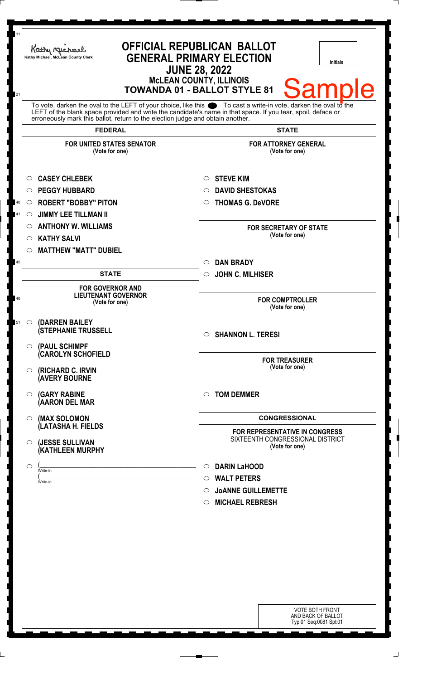| 11       | Kathy Michael<br>Kathy Michael, McLean County Clerk                                                                                                                                                                                                                                                                          | <b>OFFICIAL REPUBLICAN BALLOT</b><br><b>GENERAL PRIMARY ELECTION</b><br><b>Initials</b><br><b>JUNE 28, 2022</b><br><b>MCLEAN COUNTY, ILLINOIS</b><br><b>Sample</b><br><b>TOWANDA 01 - BALLOT STYLE 81</b> |
|----------|------------------------------------------------------------------------------------------------------------------------------------------------------------------------------------------------------------------------------------------------------------------------------------------------------------------------------|-----------------------------------------------------------------------------------------------------------------------------------------------------------------------------------------------------------|
| 21       | To vote, darken the oval to the LEFT of your choice, like this $\bullet$ . To cast a write-in vote, darken the oval to the<br>LEFT of the blank space provided and write the candidate's name in that space. If you tear, spoil, deface or<br>erroneously mark this ballot, return to the election judge and obtain another. |                                                                                                                                                                                                           |
|          | <b>FEDERAL</b>                                                                                                                                                                                                                                                                                                               | <b>STATE</b>                                                                                                                                                                                              |
|          | <b>FOR UNITED STATES SENATOR</b><br>(Vote for one)                                                                                                                                                                                                                                                                           | <b>FOR ATTORNEY GENERAL</b><br>(Vote for one)                                                                                                                                                             |
| 40<br>41 | <b>CASEY CHLEBEK</b><br>O<br><b>PEGGY HUBBARD</b><br>O<br><b>ROBERT "BOBBY" PITON</b><br>$\circ$<br><b>JIMMY LEE TILLMAN II</b><br>O                                                                                                                                                                                         | <b>STEVE KIM</b><br>O<br><b>DAVID SHESTOKAS</b><br>O<br><b>THOMAS G. DeVORE</b><br>O                                                                                                                      |
|          | <b>ANTHONY W. WILLIAMS</b><br>$\circ$<br><b>KATHY SALVI</b><br>$\circ$<br><b>MATTHEW "MATT" DUBIEL</b><br>$\circlearrowright$                                                                                                                                                                                                | <b>FOR SECRETARY OF STATE</b><br>(Vote for one)                                                                                                                                                           |
| 45       |                                                                                                                                                                                                                                                                                                                              | <b>DAN BRADY</b><br>$\circ$                                                                                                                                                                               |
|          | <b>STATE</b>                                                                                                                                                                                                                                                                                                                 | <b>JOHN C. MILHISER</b><br>$\circ$                                                                                                                                                                        |
| 48       | <b>FOR GOVERNOR AND</b><br><b>LIEUTENANT GOVERNOR</b><br>(Vote for one)                                                                                                                                                                                                                                                      | <b>FOR COMPTROLLER</b><br>(Vote for one)                                                                                                                                                                  |
| 51       | (DARREN BAILEY<br>$\bigcirc$ .<br><b>(STEPHANIE TRUSSELL</b><br>$\circ$ (PAUL SCHIMPF                                                                                                                                                                                                                                        | <b>SHANNON L. TERESI</b><br>$\circ$                                                                                                                                                                       |
|          | <b>CAROLYN SCHOFIELD</b><br>$\circ$ (RICHARD C. IRVIN<br><b>(AVERY BOURNE</b>                                                                                                                                                                                                                                                | <b>FOR TREASURER</b><br>(Vote for one)                                                                                                                                                                    |
|          | <b>(GARY RABINE</b><br>$\circ$<br>(AARON DEL MAR                                                                                                                                                                                                                                                                             | <b>TOM DEMMER</b><br>◯                                                                                                                                                                                    |
|          | (MAX SOLOMON<br>$\bigcirc$ .                                                                                                                                                                                                                                                                                                 | <b>CONGRESSIONAL</b>                                                                                                                                                                                      |
|          | (LATASHA H. FIELDS<br>(JESSE SULLIVAN<br>$\circ$<br>(KATHLEEN MURPHY                                                                                                                                                                                                                                                         | FOR REPRESENTATIVE IN CONGRESS<br>SIXTEENTH CONGRESSIONAL DISTRICT<br>(Vote for one)                                                                                                                      |
|          | $\circ$<br>Write-in<br>Write-in                                                                                                                                                                                                                                                                                              | <b>DARIN LaHOOD</b><br>$\circ$<br><b>WALT PETERS</b><br>$\circ$<br><b>JOANNE GUILLEMETTE</b><br>O<br><b>MICHAEL REBRESH</b><br>$\circ$                                                                    |
|          |                                                                                                                                                                                                                                                                                                                              | <b>VOTE BOTH FRONT</b><br>AND BACK OF BALLOT<br>Typ:01 Seq:0081 Spl:01                                                                                                                                    |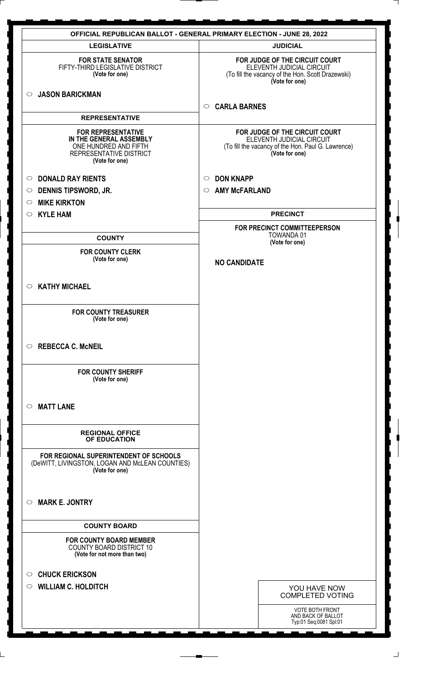|                                                                                                                            | <b>OFFICIAL REPUBLICAN BALLOT - GENERAL PRIMARY ELECTION - JUNE 28, 2022</b>                                                        |
|----------------------------------------------------------------------------------------------------------------------------|-------------------------------------------------------------------------------------------------------------------------------------|
| <b>LEGISLATIVE</b>                                                                                                         | <b>JUDICIAL</b>                                                                                                                     |
| <b>FOR STATE SENATOR</b><br>FIFTY-THIRD LEGISLATIVE DISTRICT<br>(Vote for one)                                             | FOR JUDGE OF THE CIRCUIT COURT<br>ELEVENTH JUDICIAL CIRCUIT<br>(To fill the vacancy of the Hon. Scott Drazewski)<br>(Vote for one)  |
| <b>JASON BARICKMAN</b><br>$\circ$                                                                                          | <b>CARLA BARNES</b><br>$\circ$                                                                                                      |
| <b>REPRESENTATIVE</b>                                                                                                      |                                                                                                                                     |
| <b>FOR REPRESENTATIVE</b><br>IN THE GENERAL ASSEMBLY<br>ONE HUNDRED AND FIFTH<br>REPRESENTATIVE DISTRICT<br>(Vote for one) | FOR JUDGE OF THE CIRCUIT COURT<br>ELEVENTH JUDICIAL CIRCUIT<br>(To fill the vacancy of the Hon. Paul G. Lawrence)<br>(Vote for one) |
| <b>DONALD RAY RIENTS</b><br>$\circ$                                                                                        | <b>DON KNAPP</b><br>$\circ$                                                                                                         |
| <b>DENNIS TIPSWORD, JR.</b><br>$\circ$                                                                                     | <b>AMY McFARLAND</b><br>$\circ$                                                                                                     |
| <b>MIKE KIRKTON</b><br>$\circ$                                                                                             |                                                                                                                                     |
| <b>KYLE HAM</b><br>$\circ$                                                                                                 | <b>PRECINCT</b>                                                                                                                     |
|                                                                                                                            | FOR PRECINCT COMMITTEEPERSON                                                                                                        |
| <b>COUNTY</b>                                                                                                              | <b>TOWANDA01</b><br>(Vote for one)                                                                                                  |
| <b>FOR COUNTY CLERK</b><br>(Vote for one)                                                                                  | <b>NO CANDIDATE</b>                                                                                                                 |
| <b>KATHY MICHAEL</b><br>$\circ$                                                                                            |                                                                                                                                     |
| <b>FOR COUNTY TREASURER</b><br>(Vote for one)                                                                              |                                                                                                                                     |
| <b>REBECCA C. McNEIL</b><br>$\circ$                                                                                        |                                                                                                                                     |
| <b>FOR COUNTY SHERIFF</b><br>(Vote for one)                                                                                |                                                                                                                                     |
| <b>MATT LANE</b><br>$\circ$                                                                                                |                                                                                                                                     |
| <b>REGIONAL OFFICE</b><br>OF EDUCATION                                                                                     |                                                                                                                                     |
| FOR REGIONAL SUPERINTENDENT OF SCHOOLS<br>(DeWITT, LIVINGSTON, LOGAN AND McLEAN COUNTIES)<br>(Vote for one)                |                                                                                                                                     |
| <b>MARK E. JONTRY</b><br>$\circ$                                                                                           |                                                                                                                                     |
| <b>COUNTY BOARD</b>                                                                                                        |                                                                                                                                     |
| <b>FOR COUNTY BOARD MEMBER</b><br><b>COUNTY BOARD DISTRICT 10</b><br>(Vote for not more than two)                          |                                                                                                                                     |
| <b>CHUCK ERICKSON</b><br>$\circ$                                                                                           |                                                                                                                                     |
| <b>WILLIAM C. HOLDITCH</b><br>$\circ$                                                                                      | YOU HAVE NOW                                                                                                                        |
|                                                                                                                            | <b>COMPLETED VOTING</b>                                                                                                             |
|                                                                                                                            | <b>VOTE BOTH FRONT</b>                                                                                                              |
|                                                                                                                            | AND BACK OF BALLOT<br>Typ:01 Seq:0081 Spl:01                                                                                        |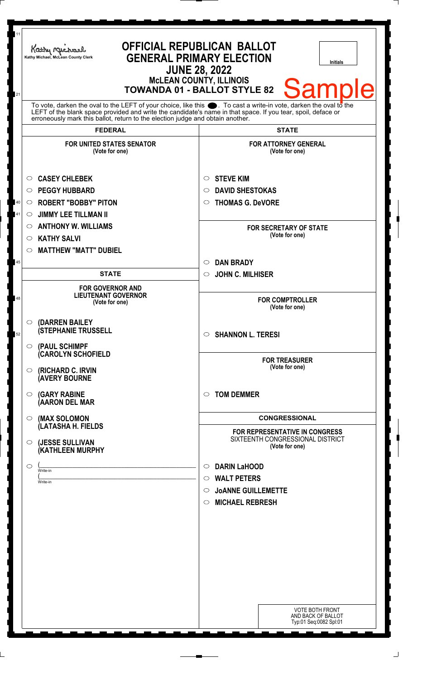| 11<br>21 | Kathy Michael<br>Kathy Michael, McLean County Clerk                                                                                                                                                                                                                                                                          | <b>OFFICIAL REPUBLICAN BALLOT</b><br><b>GENERAL PRIMARY ELECTION</b><br><b>Initials</b><br><b>JUNE 28, 2022</b><br><b>McLEAN COUNTY, ILLINOIS</b><br><b>Sample</b><br><b>TOWANDA 01 - BALLOT STYLE 82</b> |
|----------|------------------------------------------------------------------------------------------------------------------------------------------------------------------------------------------------------------------------------------------------------------------------------------------------------------------------------|-----------------------------------------------------------------------------------------------------------------------------------------------------------------------------------------------------------|
|          | To vote, darken the oval to the LEFT of your choice, like this $\bullet$ . To cast a write-in vote, darken the oval to the<br>LEFT of the blank space provided and write the candidate's name in that space. If you tear, spoil, deface or<br>erroneously mark this ballot, return to the election judge and obtain another. |                                                                                                                                                                                                           |
|          | <b>FEDERAL</b>                                                                                                                                                                                                                                                                                                               | <b>STATE</b>                                                                                                                                                                                              |
|          | <b>FOR UNITED STATES SENATOR</b><br>(Vote for one)                                                                                                                                                                                                                                                                           | <b>FOR ATTORNEY GENERAL</b><br>(Vote for one)                                                                                                                                                             |
|          | <b>CASEY CHLEBEK</b><br>O                                                                                                                                                                                                                                                                                                    | <b>STEVE KIM</b><br>$\circ$                                                                                                                                                                               |
|          | <b>PEGGY HUBBARD</b><br>◯                                                                                                                                                                                                                                                                                                    | <b>DAVID SHESTOKAS</b><br>○                                                                                                                                                                               |
| 40       | <b>ROBERT "BOBBY" PITON</b><br>$\circ$                                                                                                                                                                                                                                                                                       | <b>THOMAS G. DeVORE</b><br>O                                                                                                                                                                              |
| 41       | <b>JIMMY LEE TILLMAN II</b><br>$\circ$                                                                                                                                                                                                                                                                                       |                                                                                                                                                                                                           |
|          | <b>ANTHONY W. WILLIAMS</b><br>O                                                                                                                                                                                                                                                                                              | <b>FOR SECRETARY OF STATE</b>                                                                                                                                                                             |
|          | <b>KATHY SALVI</b><br>O                                                                                                                                                                                                                                                                                                      | (Vote for one)                                                                                                                                                                                            |
|          | <b>MATTHEW "MATT" DUBIEL</b><br>$\circ$                                                                                                                                                                                                                                                                                      |                                                                                                                                                                                                           |
| 45       |                                                                                                                                                                                                                                                                                                                              | <b>DAN BRADY</b><br>$\circ$                                                                                                                                                                               |
|          | <b>STATE</b>                                                                                                                                                                                                                                                                                                                 | <b>JOHN C. MILHISER</b><br>$\circ$                                                                                                                                                                        |
|          |                                                                                                                                                                                                                                                                                                                              |                                                                                                                                                                                                           |
| 48       | <b>FOR GOVERNOR AND</b><br><b>LIEUTENANT GOVERNOR</b><br>(Vote for one)                                                                                                                                                                                                                                                      | <b>FOR COMPTROLLER</b><br>(Vote for one)                                                                                                                                                                  |
| 52       | (DARREN BAILEY<br>$\circ$<br><b>(STEPHANIE TRUSSELL</b>                                                                                                                                                                                                                                                                      | <b>SHANNON L. TERESI</b><br>$\circ$                                                                                                                                                                       |
|          | $\circ$ (PAUL SCHIMPF<br><b>CAROLYN SCHOFIELD</b><br>(RICHARD C. IRVIN<br>$\circ$                                                                                                                                                                                                                                            | <b>FOR TREASURER</b><br>(Vote for one)                                                                                                                                                                    |
|          | <b>(AVERY BOURNE</b>                                                                                                                                                                                                                                                                                                         | $\bigcirc$                                                                                                                                                                                                |
|          | <b>(GARY RABINE</b><br>$\circ$<br>(AARON DEL MAR                                                                                                                                                                                                                                                                             | <b>TOM DEMMER</b>                                                                                                                                                                                         |
|          | (MAX SOLOMON<br>$\circ$<br>(LATASHA H. FIELDS                                                                                                                                                                                                                                                                                | <b>CONGRESSIONAL</b>                                                                                                                                                                                      |
|          | (JESSE SULLIVAN<br>$\circ$<br>(KATHLEEN MURPHY                                                                                                                                                                                                                                                                               | <b>FOR REPRESENTATIVE IN CONGRESS</b><br>SIXTEENTH CONGRESSIONAL DISTRICT<br>(Vote for one)                                                                                                               |
|          | $\circ$                                                                                                                                                                                                                                                                                                                      | <b>DARIN LaHOOD</b><br>$\circ$                                                                                                                                                                            |
|          | Write-in                                                                                                                                                                                                                                                                                                                     | <b>WALT PETERS</b><br>$\circ$                                                                                                                                                                             |
|          | Write-in                                                                                                                                                                                                                                                                                                                     | <b>JOANNE GUILLEMETTE</b><br>$\circ$                                                                                                                                                                      |
|          |                                                                                                                                                                                                                                                                                                                              | <b>MICHAEL REBRESH</b><br>$\circ$                                                                                                                                                                         |
|          |                                                                                                                                                                                                                                                                                                                              |                                                                                                                                                                                                           |
|          |                                                                                                                                                                                                                                                                                                                              |                                                                                                                                                                                                           |
|          |                                                                                                                                                                                                                                                                                                                              |                                                                                                                                                                                                           |
|          |                                                                                                                                                                                                                                                                                                                              |                                                                                                                                                                                                           |
|          |                                                                                                                                                                                                                                                                                                                              |                                                                                                                                                                                                           |
|          |                                                                                                                                                                                                                                                                                                                              |                                                                                                                                                                                                           |
|          |                                                                                                                                                                                                                                                                                                                              |                                                                                                                                                                                                           |
|          |                                                                                                                                                                                                                                                                                                                              |                                                                                                                                                                                                           |
|          |                                                                                                                                                                                                                                                                                                                              | <b>VOTE BOTH FRONT</b><br>AND BACK OF BALLOT<br>Typ:01 Seq:0082 Spl:01                                                                                                                                    |